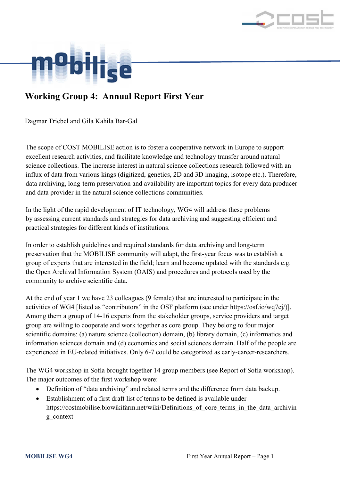



## Working Group 4: Annual Report First Year

Dagmar Triebel and Gila Kahila Bar-Gal

The scope of COST MOBILISE action is to foster a cooperative network in Europe to support excellent research activities, and facilitate knowledge and technology transfer around natural science collections. The increase interest in natural science collections research followed with an influx of data from various kings (digitized, genetics, 2D and 3D imaging, isotope etc.). Therefore, data archiving, long-term preservation and availability are important topics for every data producer and data provider in the natural science collections communities.

In the light of the rapid development of IT technology, WG4 will address these problems by assessing current standards and strategies for data archiving and suggesting efficient and practical strategies for different kinds of institutions.

In order to establish guidelines and required standards for data archiving and long-term preservation that the MOBILISE community will adapt, the first-year focus was to establish a group of experts that are interested in the field; learn and become updated with the standards e.g. the Open Archival Information System (OAIS) and procedures and protocols used by the community to archive scientific data.

At the end of year 1 we have 23 colleagues (9 female) that are interested to participate in the activities of WG4 [listed as "contributors" in the OSF platform (see under https://osf.io/wq7ej/)]. Among them a group of 14-16 experts from the stakeholder groups, service providers and target group are willing to cooperate and work together as core group. They belong to four major scientific domains: (a) nature science (collection) domain, (b) library domain, (c) informatics and information sciences domain and (d) economics and social sciences domain. Half of the people are experienced in EU-related initiatives. Only 6-7 could be categorized as early-career-researchers.

The WG4 workshop in Sofia brought together 14 group members (see Report of Sofia workshop). The major outcomes of the first workshop were:

- Definition of "data archiving" and related terms and the difference from data backup.
- Establishment of a first draft list of terms to be defined is available under https://costmobilise.biowikifarm.net/wiki/Definitions of core terms in the data archivin g\_context